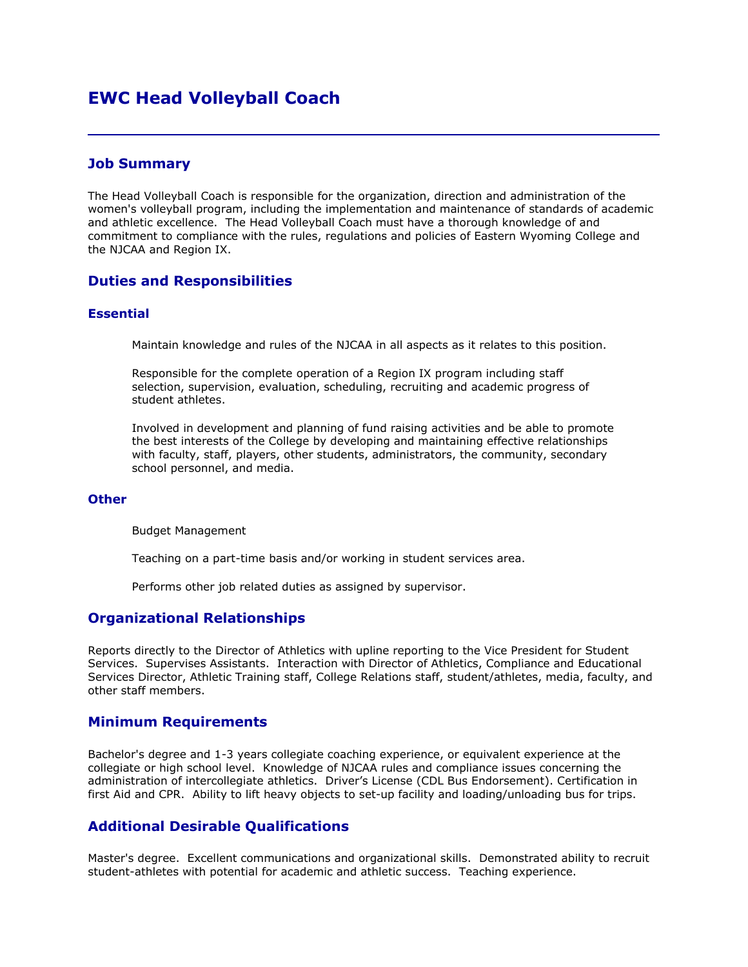# **EWC Head Volleyball Coach**

### **Job Summary**

The Head Volleyball Coach is responsible for the organization, direction and administration of the women's volleyball program, including the implementation and maintenance of standards of academic and athletic excellence. The Head Volleyball Coach must have a thorough knowledge of and commitment to compliance with the rules, regulations and policies of Eastern Wyoming College and the NJCAA and Region IX.

### **Duties and Responsibilities**

#### **Essential**

Maintain knowledge and rules of the NJCAA in all aspects as it relates to this position.

Responsible for the complete operation of a Region IX program including staff selection, supervision, evaluation, scheduling, recruiting and academic progress of student athletes.

Involved in development and planning of fund raising activities and be able to promote the best interests of the College by developing and maintaining effective relationships with faculty, staff, players, other students, administrators, the community, secondary school personnel, and media.

#### **Other**

Budget Management

Teaching on a part-time basis and/or working in student services area.

Performs other job related duties as assigned by supervisor.

### **Organizational Relationships**

Reports directly to the Director of Athletics with upline reporting to the Vice President for Student Services. Supervises Assistants. Interaction with Director of Athletics, Compliance and Educational Services Director, Athletic Training staff, College Relations staff, student/athletes, media, faculty, and other staff members.

### **Minimum Requirements**

Bachelor's degree and 1-3 years collegiate coaching experience, or equivalent experience at the collegiate or high school level. Knowledge of NJCAA rules and compliance issues concerning the administration of intercollegiate athletics. Driver's License (CDL Bus Endorsement). Certification in first Aid and CPR. Ability to lift heavy objects to set-up facility and loading/unloading bus for trips.

### **Additional Desirable Qualifications**

Master's degree. Excellent communications and organizational skills. Demonstrated ability to recruit student-athletes with potential for academic and athletic success. Teaching experience.